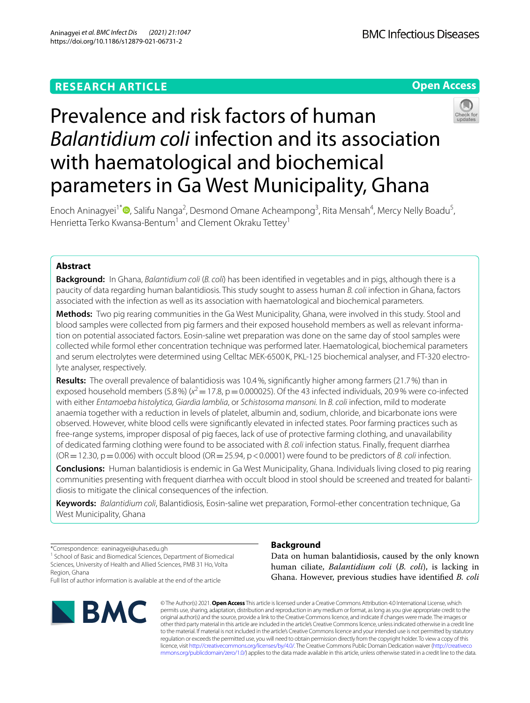# **Open Access**



# Prevalence and risk factors of human *Balantidium coli* infection and its association with haematological and biochemical parameters in Ga West Municipality, Ghana

Enoch Aninagyei<sup>1\*</sup><sup>®</sup>[,](http://orcid.org/0000-0002-6489-167X) Salifu Nanga<sup>2</sup>, Desmond Omane Acheampong<sup>3</sup>, Rita Mensah<sup>4</sup>, Mercy Nelly Boadu<sup>5</sup>, Henrietta Terko Kwansa-Bentum<sup>1</sup> and Clement Okraku Tettev<sup>1</sup>

# **Abstract**

**Background:** In Ghana, *Balantidium coli* (*B. coli*) has been identifed in vegetables and in pigs, although there is a paucity of data regarding human balantidiosis. This study sought to assess human *B. coli* infection in Ghana, factors associated with the infection as well as its association with haematological and biochemical parameters.

**Methods:** Two pig rearing communities in the Ga West Municipality, Ghana, were involved in this study. Stool and blood samples were collected from pig farmers and their exposed household members as well as relevant information on potential associated factors. Eosin-saline wet preparation was done on the same day of stool samples were collected while formol ether concentration technique was performed later. Haematological, biochemical parameters and serum electrolytes were determined using Celltac MEK-6500 K, PKL-125 biochemical analyser, and FT-320 electrolyte analyser, respectively.

**Results:** The overall prevalence of balantidiosis was 10.4%, signifcantly higher among farmers (21.7%) than in exposed household members (5.8%) ( $x^2$  = 17.8, p = 0.000025). Of the 43 infected individuals, 20.9% were co-infected with either *Entamoeba histolytica, Giardia lamblia*, or *Schistosoma mansoni.* In *B. coli* infection, mild to moderate anaemia together with a reduction in levels of platelet, albumin and, sodium, chloride, and bicarbonate ions were observed. However, white blood cells were signifcantly elevated in infected states. Poor farming practices such as free-range systems, improper disposal of pig faeces, lack of use of protective farming clothing, and unavailability of dedicated farming clothing were found to be associated with *B. coli* infection status. Finally, frequent diarrhea  $(OR = 12.30, p = 0.006)$  with occult blood  $(OR = 25.94, p < 0.0001)$  were found to be predictors of *B. coli* infection.

**Conclusions:** Human balantidiosis is endemic in Ga West Municipality, Ghana. Individuals living closed to pig rearing communities presenting with frequent diarrhea with occult blood in stool should be screened and treated for balantidiosis to mitigate the clinical consequences of the infection.

**Keywords:** *Balantidium coli*, Balantidiosis, Eosin-saline wet preparation, Formol-ether concentration technique, Ga West Municipality, Ghana

\*Correspondence: eaninagyei@uhas.edu.gh

<sup>1</sup> School of Basic and Biomedical Sciences, Department of Biomedical Sciences, University of Health and Allied Sciences, PMB 31 Ho, Volta Region, Ghana

Full list of author information is available at the end of the article



# **Background**

Data on human balantidiosis, caused by the only known human ciliate, *Balantidium coli* (*B. coli*), is lacking in Ghana. However, previous studies have identifed *B. coli*

© The Author(s) 2021. **Open Access** This article is licensed under a Creative Commons Attribution 4.0 International License, which permits use, sharing, adaptation, distribution and reproduction in any medium or format, as long as you give appropriate credit to the original author(s) and the source, provide a link to the Creative Commons licence, and indicate if changes were made. The images or other third party material in this article are included in the article's Creative Commons licence, unless indicated otherwise in a credit line to the material. If material is not included in the article's Creative Commons licence and your intended use is not permitted by statutory regulation or exceeds the permitted use, you will need to obtain permission directly from the copyright holder. To view a copy of this licence, visit [http://creativecommons.org/licenses/by/4.0/.](http://creativecommons.org/licenses/by/4.0/) The Creative Commons Public Domain Dedication waiver ([http://creativeco](http://creativecommons.org/publicdomain/zero/1.0/) [mmons.org/publicdomain/zero/1.0/](http://creativecommons.org/publicdomain/zero/1.0/)) applies to the data made available in this article, unless otherwise stated in a credit line to the data.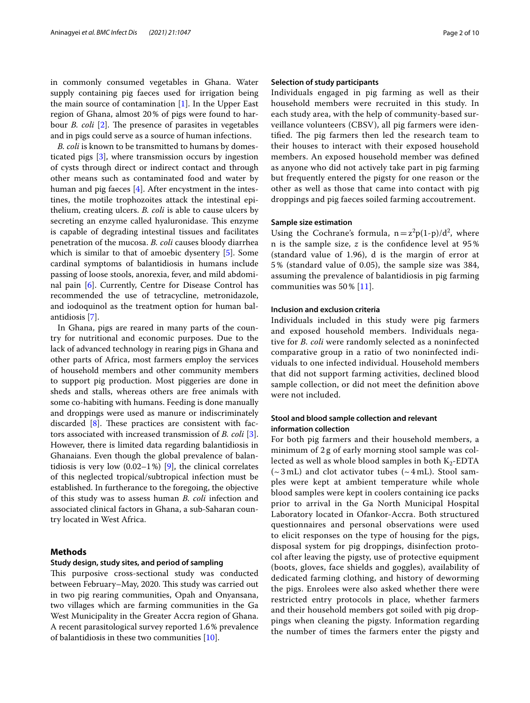in commonly consumed vegetables in Ghana. Water supply containing pig faeces used for irrigation being the main source of contamination  $[1]$  $[1]$ . In the Upper East region of Ghana, almost 20% of pigs were found to harbour *B. coli* [[2\]](#page-9-1). The presence of parasites in vegetables and in pigs could serve as a source of human infections.

*B. coli* is known to be transmitted to humans by domesticated pigs [\[3](#page-9-2)], where transmission occurs by ingestion of cysts through direct or indirect contact and through other means such as contaminated food and water by human and pig faeces [[4\]](#page-9-3). After encystment in the intestines, the motile trophozoites attack the intestinal epithelium, creating ulcers. *B. coli* is able to cause ulcers by secreting an enzyme called hyaluronidase. This enzyme is capable of degrading intestinal tissues and facilitates penetration of the mucosa. *B. coli* causes bloody diarrhea which is similar to that of amoebic dysentery [[5\]](#page-9-4). Some cardinal symptoms of balantidiosis in humans include passing of loose stools, anorexia, fever, and mild abdominal pain [\[6](#page-9-5)]. Currently, Centre for Disease Control has recommended the use of tetracycline, metronidazole, and iodoquinol as the treatment option for human balantidiosis [\[7](#page-9-6)].

In Ghana, pigs are reared in many parts of the country for nutritional and economic purposes. Due to the lack of advanced technology in rearing pigs in Ghana and other parts of Africa, most farmers employ the services of household members and other community members to support pig production. Most piggeries are done in sheds and stalls, whereas others are free animals with some co-habiting with humans. Feeding is done manually and droppings were used as manure or indiscriminately discarded  $[8]$  $[8]$ . These practices are consistent with factors associated with increased transmission of *B. coli* [\[3](#page-9-2)]. However, there is limited data regarding balantidiosis in Ghanaians. Even though the global prevalence of balantidiosis is very low  $(0.02-1\%)$  [[9\]](#page-9-8), the clinical correlates of this neglected tropical/subtropical infection must be established. In furtherance to the foregoing, the objective of this study was to assess human *B. coli* infection and associated clinical factors in Ghana, a sub-Saharan country located in West Africa.

#### **Methods**

#### **Study design, study sites, and period of sampling**

This purposive cross-sectional study was conducted between February–May, 2020. This study was carried out in two pig rearing communities, Opah and Onyansana, two villages which are farming communities in the Ga West Municipality in the Greater Accra region of Ghana. A recent parasitological survey reported 1.6% prevalence of balantidiosis in these two communities [[10](#page-9-9)].

# **Selection of study participants**

Individuals engaged in pig farming as well as their household members were recruited in this study. In each study area, with the help of community-based surveillance volunteers (CBSV), all pig farmers were identified. The pig farmers then led the research team to their houses to interact with their exposed household members. An exposed household member was defned as anyone who did not actively take part in pig farming but frequently entered the pigsty for one reason or the other as well as those that came into contact with pig droppings and pig faeces soiled farming accoutrement.

#### **Sample size estimation**

Using the Cochrane's formula,  $n = z^2p(1-p)/d^2$ , where n is the sample size,  $z$  is the confidence level at  $95\%$ (standard value of 1.96), d is the margin of error at 5% (standard value of 0.05), the sample size was 384, assuming the prevalence of balantidiosis in pig farming communities was 50% [[11\]](#page-9-10).

### **Inclusion and exclusion criteria**

Individuals included in this study were pig farmers and exposed household members. Individuals negative for *B. coli* were randomly selected as a noninfected comparative group in a ratio of two noninfected individuals to one infected individual. Household members that did not support farming activities, declined blood sample collection, or did not meet the defnition above were not included.

### **Stool and blood sample collection and relevant information collection**

For both pig farmers and their household members, a minimum of 2 g of early morning stool sample was collected as well as whole blood samples in both  $K_2$ -EDTA  $({\sim}3 \text{ mL})$  and clot activator tubes  $({\sim}4 \text{ mL})$ . Stool samples were kept at ambient temperature while whole blood samples were kept in coolers containing ice packs prior to arrival in the Ga North Municipal Hospital Laboratory located in Ofankor-Accra. Both structured questionnaires and personal observations were used to elicit responses on the type of housing for the pigs, disposal system for pig droppings, disinfection protocol after leaving the pigsty, use of protective equipment (boots, gloves, face shields and goggles), availability of dedicated farming clothing, and history of deworming the pigs. Enrolees were also asked whether there were restricted entry protocols in place, whether farmers and their household members got soiled with pig droppings when cleaning the pigsty. Information regarding the number of times the farmers enter the pigsty and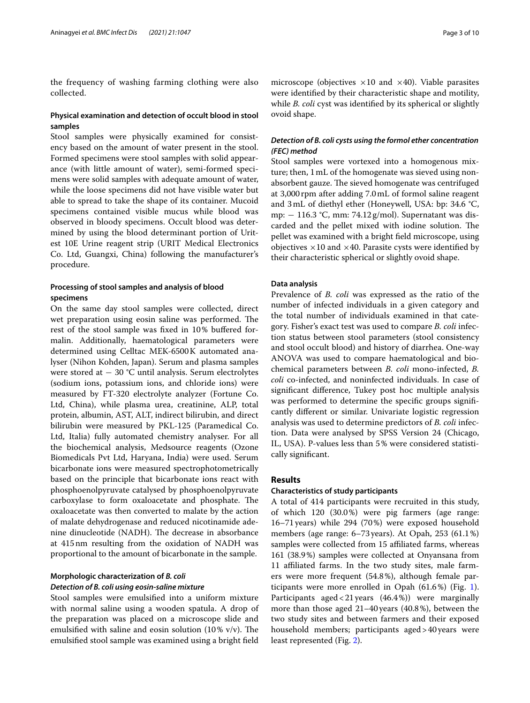the frequency of washing farming clothing were also collected.

# **Physical examination and detection of occult blood in stool samples**

Stool samples were physically examined for consistency based on the amount of water present in the stool. Formed specimens were stool samples with solid appearance (with little amount of water), semi-formed specimens were solid samples with adequate amount of water, while the loose specimens did not have visible water but able to spread to take the shape of its container. Mucoid specimens contained visible mucus while blood was observed in bloody specimens. Occult blood was determined by using the blood determinant portion of Uritest 10E Urine reagent strip (URIT Medical Electronics Co. Ltd, Guangxi, China) following the manufacturer's procedure.

# **Processing of stool samples and analysis of blood specimens**

On the same day stool samples were collected, direct wet preparation using eosin saline was performed. The rest of the stool sample was fxed in 10% bufered formalin. Additionally, haematological parameters were determined using Celltac MEK-6500K automated analyser (Nihon Kohden, Japan). Serum and plasma samples were stored at − 30 °C until analysis. Serum electrolytes (sodium ions, potassium ions, and chloride ions) were measured by FT-320 electrolyte analyzer (Fortune Co. Ltd, China), while plasma urea, creatinine, ALP, total protein, albumin, AST, ALT, indirect bilirubin, and direct bilirubin were measured by PKL-125 (Paramedical Co. Ltd, Italia) fully automated chemistry analyser. For all the biochemical analysis, Medsource reagents (Ozone Biomedicals Pvt Ltd, Haryana, India) were used. Serum bicarbonate ions were measured spectrophotometrically based on the principle that bicarbonate ions react with phosphoenolpyruvate catalysed by phosphoenolpyruvate carboxylase to form oxaloacetate and phosphate. The oxaloacetate was then converted to malate by the action of malate dehydrogenase and reduced nicotinamide adenine dinucleotide (NADH). The decrease in absorbance at 415nm resulting from the oxidation of NADH was proportional to the amount of bicarbonate in the sample.

# **Morphologic characterization of** *B. coli*

# *Detection of B. coli using eosin‑saline mixture*

Stool samples were emulsifed into a uniform mixture with normal saline using a wooden spatula. A drop of the preparation was placed on a microscope slide and emulsified with saline and eosin solution  $(10\% \text{ v/v})$ . The emulsifed stool sample was examined using a bright feld microscope (objectives  $\times 10$  and  $\times 40$ ). Viable parasites were identifed by their characteristic shape and motility, while *B. coli* cyst was identified by its spherical or slightly ovoid shape.

# *Detection of B. coli cysts using the formol ether concentration (FEC) method*

Stool samples were vortexed into a homogenous mixture; then, 1mL of the homogenate was sieved using nonabsorbent gauze. The sieved homogenate was centrifuged at 3,000rpm after adding 7.0mL of formol saline reagent and 3mL of diethyl ether (Honeywell, USA: bp: 34.6 °C, mp: − 116.3 °C, mm: 74.12g/mol). Supernatant was discarded and the pellet mixed with iodine solution. The pellet was examined with a bright feld microscope, using objectives  $\times 10$  and  $\times 40$ . Parasite cysts were identified by their characteristic spherical or slightly ovoid shape.

#### **Data analysis**

Prevalence of *B. coli* was expressed as the ratio of the number of infected individuals in a given category and the total number of individuals examined in that category. Fisher's exact test was used to compare *B. coli* infection status between stool parameters (stool consistency and stool occult blood) and history of diarrhea. One-way ANOVA was used to compare haematological and biochemical parameters between *B. coli* mono-infected, *B. coli* co-infected, and noninfected individuals. In case of signifcant diference, Tukey post hoc multiple analysis was performed to determine the specifc groups signifcantly diferent or similar. Univariate logistic regression analysis was used to determine predictors of *B. coli* infection. Data were analysed by SPSS Version 24 (Chicago, IL, USA). P-values less than 5% were considered statistically signifcant.

#### **Results**

#### **Characteristics of study participants**

A total of 414 participants were recruited in this study, of which 120 (30.0%) were pig farmers (age range: 16–71years) while 294 (70%) were exposed household members (age range: 6–73years). At Opah, 253 (61.1%) samples were collected from 15 affiliated farms, whereas 161 (38.9%) samples were collected at Onyansana from 11 affiliated farms. In the two study sites, male farmers were more frequent (54.8%), although female participants were more enrolled in Opah (61.6%) (Fig. [1](#page-3-0)). Participants aged<21years (46.4%)) were marginally more than those aged 21–40years (40.8%), between the two study sites and between farmers and their exposed household members; participants aged>40years were least represented (Fig. [2\)](#page-3-1).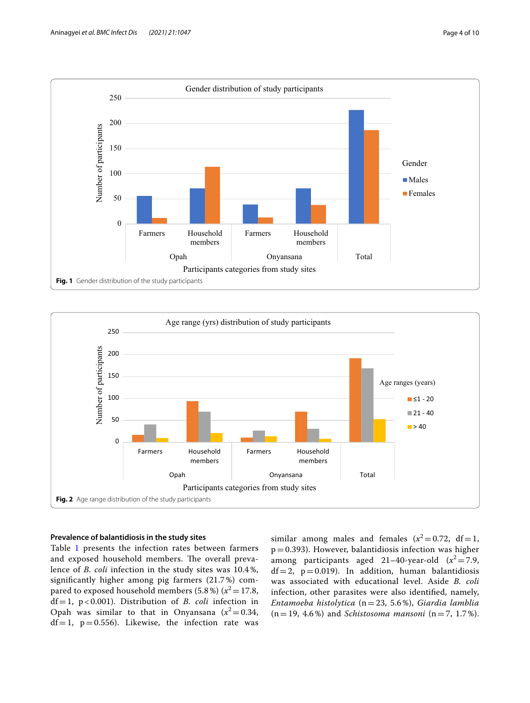

<span id="page-3-0"></span>

#### <span id="page-3-1"></span>**Prevalence of balantidiosis in the study sites**

Table [1](#page-4-0) presents the infection rates between farmers and exposed household members. The overall prevalence of *B. coli* infection in the study sites was 10.4%, signifcantly higher among pig farmers (21.7%) compared to exposed household members  $(5.8\%) (x^2=17.8,$ df=1, p < 0.001). Distribution of *B. coli* infection in Opah was similar to that in Onyansana  $(x^2=0.34,$  $df=1$ ,  $p=0.556$ ). Likewise, the infection rate was similar among males and females  $(x^2=0.72, df=1,$  $p=0.393$ ). However, balantidiosis infection was higher among participants aged  $21-40$ -year-old  $(x^2=7.9,$  $df=2$ ,  $p=0.019$ ). In addition, human balantidiosis was associated with educational level. Aside *B. coli* infection, other parasites were also identifed, namely, *Entamoeba histolytica* (n=23, 5.6%), *Giardia lamblia*  $(n=19, 4.6\%)$  and *Schistosoma mansoni*  $(n=7, 1.7\%).$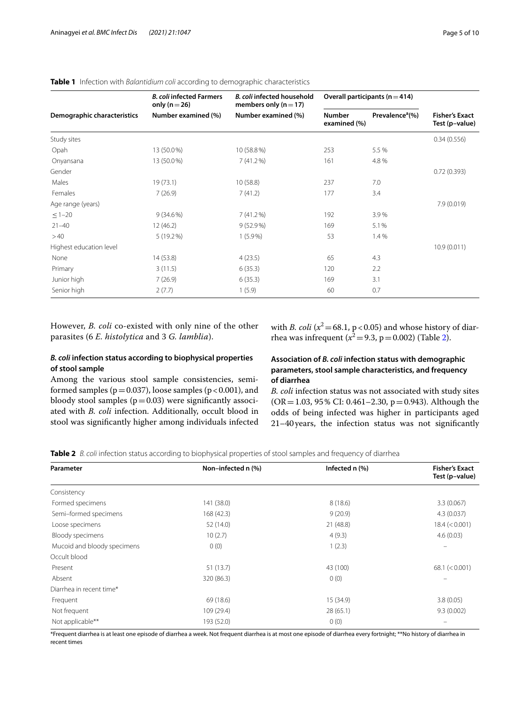|                             | <b>B. coli infected Farmers</b><br>only ( $n = 26$ ) | B. coli infected household<br>members only ( $n = 17$ ) |                               | Overall participants ( $n = 414$ ) |                                         |
|-----------------------------|------------------------------------------------------|---------------------------------------------------------|-------------------------------|------------------------------------|-----------------------------------------|
| Demographic characteristics | Number examined (%)                                  | Number examined (%)                                     | <b>Number</b><br>examined (%) | Prevalence <sup>a</sup> (%)        | <b>Fisher's Exact</b><br>Test (p-value) |
| Study sites                 |                                                      |                                                         |                               |                                    | 0.34(0.556)                             |
| Opah                        | 13 (50.0%)                                           | 10 (58.8%)                                              | 253                           | 5.5 %                              |                                         |
| Onyansana                   | 13 (50.0%)                                           | 7(41.2%)                                                | 161                           | 4.8%                               |                                         |
| Gender                      |                                                      |                                                         |                               |                                    | 0.72(0.393)                             |
| Males                       | 19(73.1)                                             | 10(58.8)                                                | 237                           | 7.0                                |                                         |
| Females                     | 7(26.9)                                              | 7(41.2)                                                 | 177                           | 3.4                                |                                         |
| Age range (years)           |                                                      |                                                         |                               |                                    | 7.9 (0.019)                             |
| $\leq$ 1-20                 | $9(34.6\%)$                                          | 7(41.2%)                                                | 192                           | 3.9%                               |                                         |
| $21 - 40$                   | 12(46.2)                                             | $9(52.9\%)$                                             | 169                           | 5.1%                               |                                         |
| >40                         | 5 (19.2%)                                            | $1(5.9\%)$                                              | 53                            | 1.4%                               |                                         |
| Highest education level     |                                                      |                                                         |                               |                                    | 10.9(0.011)                             |
| None                        | 14(53.8)                                             | 4(23.5)                                                 | 65                            | 4.3                                |                                         |
| Primary                     | 3(11.5)                                              | 6(35.3)                                                 | 120                           | 2.2                                |                                         |
| Junior high                 | 7(26.9)                                              | 6(35.3)                                                 | 169                           | 3.1                                |                                         |
| Senior high                 | 2(7.7)                                               | 1(5.9)                                                  | 60                            | 0.7                                |                                         |

# <span id="page-4-0"></span>**Table 1** Infection with *Balantidium coli* according to demographic characteristics

However, *B. coli* co-existed with only nine of the other parasites (6 *E. histolytica* and 3 *G. lamblia*).

with *B. coli* ( $x^2$  = 68.1, p < 0.05) and whose history of diarrhea was infrequent ( $x^2 = 9.3$ , p = 0.00[2\)](#page-4-1) (Table 2).

# *B. coli* **infection status according to biophysical properties of stool sample**

Among the various stool sample consistencies, semiformed samples ( $p=0.037$ ), loose samples ( $p<0.001$ ), and bloody stool samples  $(p=0.03)$  were significantly associated with *B. coli* infection. Additionally, occult blood in stool was signifcantly higher among individuals infected **Association of** *B. coli* **infection status with demographic parameters, stool sample characteristics, and frequency of diarrhea**

*B. coli* infection status was not associated with study sites  $(OR = 1.03, 95\% CI: 0.461 - 2.30, p = 0.943)$ . Although the odds of being infected was higher in participants aged 21–40years, the infection status was not signifcantly

<span id="page-4-1"></span>

| Table 2 B, coli infection status according to biophysical properties of stool samples and frequency of diarrhea |  |  |  |  |
|-----------------------------------------------------------------------------------------------------------------|--|--|--|--|
|-----------------------------------------------------------------------------------------------------------------|--|--|--|--|

| Parameter                   | Non-infected n (%) | Infected n (%) | <b>Fisher's Exact</b><br>Test (p-value) |
|-----------------------------|--------------------|----------------|-----------------------------------------|
| Consistency                 |                    |                |                                         |
| Formed specimens            | 141 (38.0)         | 8(18.6)        | 3.3(0.067)                              |
| Semi-formed specimens       | 168 (42.3)         | 9(20.9)        | 4.3(0.037)                              |
| Loose specimens             | 52 (14.0)          | 21 (48.8)      | 18.4 (< 0.001)                          |
| Bloody specimens            | 10(2.7)            | 4(9.3)         | 4.6(0.03)                               |
| Mucoid and bloody specimens | 0(0)               | 1(2.3)         |                                         |
| Occult blood                |                    |                |                                         |
| Present                     | 51 (13.7)          | 43 (100)       | 68.1 (< 0.001)                          |
| Absent                      | 320 (86.3)         | 0(0)           |                                         |
| Diarrhea in recent time*    |                    |                |                                         |
| Frequent                    | 69 (18.6)          | 15 (34.9)      | 3.8(0.05)                               |
| Not frequent                | 109 (29.4)         | 28(65.1)       | 9.3(0.002)                              |
| Not applicable**            | 193 (52.0)         | 0(0)           |                                         |
|                             |                    |                |                                         |

\*Frequent diarrhea is at least one episode of diarrhea a week. Not frequent diarrhea is at most one episode of diarrhea every fortnight; \*\*No history of diarrhea in recent times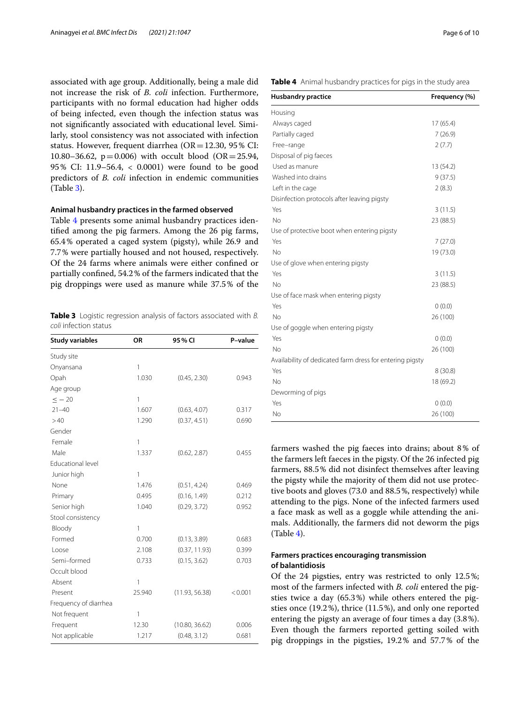associated with age group. Additionally, being a male did not increase the risk of *B. coli* infection. Furthermore, participants with no formal education had higher odds of being infected, even though the infection status was not signifcantly associated with educational level. Similarly, stool consistency was not associated with infection status. However, frequent diarrhea (OR=12.30, 95% CI: 10.80–36.62,  $p = 0.006$ ) with occult blood (OR = 25.94, 95% CI: 11.9–56.4, < 0.0001) were found to be good predictors of *B. coli* infection in endemic communities (Table [3](#page-5-0)).

#### **Animal husbandry practices in the farmed observed**

Table [4](#page-5-1) presents some animal husbandry practices identifed among the pig farmers. Among the 26 pig farms, 65.4% operated a caged system (pigsty), while 26.9 and 7.7% were partially housed and not housed, respectively. Of the 24 farms where animals were either confned or partially confned, 54.2% of the farmers indicated that the pig droppings were used as manure while 37.5% of the

<span id="page-5-0"></span>**Table 3** Logistic regression analysis of factors associated with *B. coli* infection status

| <b>Study variables</b> | OR           | 95% CI         | P-value |
|------------------------|--------------|----------------|---------|
| Study site             |              |                |         |
| Onyansana              | $\mathbf{1}$ |                |         |
| Opah                   | 1.030        | (0.45, 2.30)   | 0.943   |
| Age group              |              |                |         |
| $<-20$                 | 1            |                |         |
| $21 - 40$              | 1.607        | (0.63, 4.07)   | 0.317   |
| >40                    | 1.290        | (0.37, 4.51)   | 0.690   |
| Gender                 |              |                |         |
| Female                 | 1            |                |         |
| Male                   | 1.337        | (0.62, 2.87)   | 0.455   |
| Educational level      |              |                |         |
| Junior high            | $\mathbf{1}$ |                |         |
| None                   | 1.476        | (0.51, 4.24)   | 0.469   |
| Primary                | 0.495        | (0.16, 1.49)   | 0.212   |
| Senior high            | 1.040        | (0.29, 3.72)   | 0.952   |
| Stool consistency      |              |                |         |
| Bloody                 | 1            |                |         |
| Formed                 | 0.700        | (0.13, 3.89)   | 0.683   |
| Loose                  | 2.108        | (0.37, 11.93)  | 0.399   |
| Semi-formed            | 0.733        | (0.15, 3.62)   | 0.703   |
| Occult blood           |              |                |         |
| Absent                 | 1            |                |         |
| Present                | 25.940       | (11.93, 56.38) | < 0.001 |
| Frequency of diarrhea  |              |                |         |
| Not frequent           | 1            |                |         |
| Frequent               | 12.30        | (10.80, 36.62) | 0.006   |
| Not applicable         | 1.217        | (0.48, 3.12)   | 0.681   |

<span id="page-5-1"></span>

|  |  |  |  |  | Table 4 Animal husbandry practices for pigs in the study area |
|--|--|--|--|--|---------------------------------------------------------------|
|--|--|--|--|--|---------------------------------------------------------------|

| <b>Husbandry practice</b>                                | Frequency (%) |
|----------------------------------------------------------|---------------|
| Housing                                                  |               |
| Always caged                                             | 17(65.4)      |
| Partially caged                                          | 7(26.9)       |
| Free-range                                               | 2(7.7)        |
| Disposal of pig faeces                                   |               |
| Used as manure                                           | 13 (54.2)     |
| Washed into drains                                       | 9(37.5)       |
| Left in the cage                                         | 2(8.3)        |
| Disinfection protocols after leaving pigsty              |               |
| Yes                                                      | 3(11.5)       |
| No                                                       | 23 (88.5)     |
| Use of protective boot when entering pigsty              |               |
| Yes                                                      | 7(27.0)       |
| No                                                       | 19 (73.0)     |
| Use of glove when entering pigsty                        |               |
| Yes                                                      | 3(11.5)       |
| No                                                       | 23 (88.5)     |
| Use of face mask when entering pigsty                    |               |
| Yes                                                      | 0(0.0)        |
| No                                                       | 26 (100)      |
| Use of goggle when entering pigsty                       |               |
| Yes                                                      | 0(0.0)        |
| <b>No</b>                                                | 26 (100)      |
| Availability of dedicated farm dress for entering pigsty |               |
| Yes                                                      | 8(30.8)       |
| <b>No</b>                                                | 18 (69.2)     |
| Deworming of pigs                                        |               |
| Yes                                                      | 0(0.0)        |
| No                                                       | 26 (100)      |

farmers washed the pig faeces into drains; about 8% of the farmers left faeces in the pigsty. Of the 26 infected pig farmers, 88.5% did not disinfect themselves after leaving the pigsty while the majority of them did not use protective boots and gloves (73.0 and 88.5%, respectively) while attending to the pigs. None of the infected farmers used a face mask as well as a goggle while attending the animals. Additionally, the farmers did not deworm the pigs (Table [4\)](#page-5-1).

# **Farmers practices encouraging transmission of balantidiosis**

Of the 24 pigsties, entry was restricted to only 12.5%; most of the farmers infected with *B. coli* entered the pigsties twice a day (65.3%) while others entered the pigsties once (19.2%), thrice (11.5%), and only one reported entering the pigsty an average of four times a day (3.8%). Even though the farmers reported getting soiled with pig droppings in the pigsties, 19.2% and 57.7% of the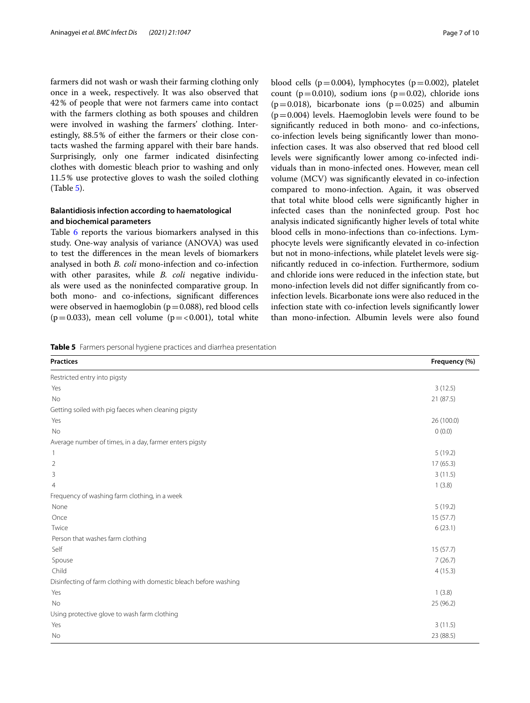farmers did not wash or wash their farming clothing only once in a week, respectively. It was also observed that 42% of people that were not farmers came into contact with the farmers clothing as both spouses and children were involved in washing the farmers' clothing. Interestingly, 88.5% of either the farmers or their close contacts washed the farming apparel with their bare hands. Surprisingly, only one farmer indicated disinfecting clothes with domestic bleach prior to washing and only 11.5% use protective gloves to wash the soiled clothing (Table [5](#page-6-0)).

# **Balantidiosis infection according to haematological and biochemical parameters**

Table [6](#page-7-0) reports the various biomarkers analysed in this study. One-way analysis of variance (ANOVA) was used to test the diferences in the mean levels of biomarkers analysed in both *B. coli* mono-infection and co-infection with other parasites, while *B. coli* negative individuals were used as the noninfected comparative group. In both mono- and co-infections, signifcant diferences were observed in haemoglobin ( $p=0.088$ ), red blood cells ( $p=0.033$ ), mean cell volume ( $p=<0.001$ ), total white blood cells ( $p=0.004$ ), lymphocytes ( $p=0.002$ ), platelet count ( $p=0.010$ ), sodium ions ( $p=0.02$ ), chloride ions  $(p=0.018)$ , bicarbonate ions  $(p=0.025)$  and albumin  $(p=0.004)$  levels. Haemoglobin levels were found to be signifcantly reduced in both mono- and co-infections, co-infection levels being signifcantly lower than monoinfection cases. It was also observed that red blood cell levels were signifcantly lower among co-infected individuals than in mono-infected ones. However, mean cell volume (MCV) was signifcantly elevated in co-infection compared to mono-infection. Again, it was observed that total white blood cells were signifcantly higher in infected cases than the noninfected group. Post hoc analysis indicated signifcantly higher levels of total white blood cells in mono-infections than co-infections. Lymphocyte levels were signifcantly elevated in co-infection but not in mono-infections, while platelet levels were signifcantly reduced in co-infection. Furthermore, sodium and chloride ions were reduced in the infection state, but mono-infection levels did not difer signifcantly from coinfection levels. Bicarbonate ions were also reduced in the infection state with co-infection levels signifcantly lower than mono-infection. Albumin levels were also found

<span id="page-6-0"></span>**Table 5** Farmers personal hygiene practices and diarrhea presentation

| <b>Practices</b>                                                  | Frequency (%) |
|-------------------------------------------------------------------|---------------|
| Restricted entry into pigsty                                      |               |
| Yes                                                               | 3(12.5)       |
| No                                                                | 21 (87.5)     |
| Getting soiled with pig faeces when cleaning pigsty               |               |
| Yes                                                               | 26 (100.0)    |
| No                                                                | 0(0.0)        |
| Average number of times, in a day, farmer enters pigsty           |               |
| $\overline{\phantom{a}}$                                          | 5(19.2)       |
| $\overline{2}$                                                    | 17(65.3)      |
| 3                                                                 | 3(11.5)       |
| 4                                                                 | 1(3.8)        |
| Frequency of washing farm clothing, in a week                     |               |
| None                                                              | 5(19.2)       |
| Once                                                              | 15(57.7)      |
| Twice                                                             | 6(23.1)       |
| Person that washes farm clothing                                  |               |
| Self                                                              | 15(57.7)      |
| Spouse                                                            | 7(26.7)       |
| Child                                                             | 4(15.3)       |
| Disinfecting of farm clothing with domestic bleach before washing |               |
| Yes                                                               | 1(3.8)        |
| No                                                                | 25 (96.2)     |
| Using protective glove to wash farm clothing                      |               |
| Yes                                                               | 3(11.5)       |
| No                                                                | 23 (88.5)     |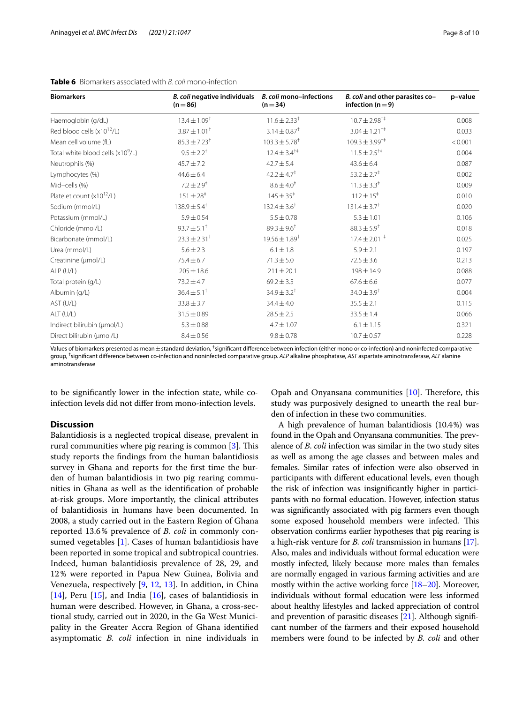| <b>Biomarkers</b>                             | B. coli negative individuals<br>$(n=86)$ | B. coli mono-infections<br>$(n=34)$ | B. coli and other parasites co-<br>infection ( $n = 9$ ) | p-value |
|-----------------------------------------------|------------------------------------------|-------------------------------------|----------------------------------------------------------|---------|
| Haemoglobin (g/dL)                            | $13.4 \pm 1.09$ <sup>†</sup>             | $11.6 \pm 2.33$ <sup>†</sup>        | $10.7 \pm 2.98^{\dagger\ddagger}$                        | 0.008   |
| Red blood cells (x10 <sup>12</sup> /L)        | $3.87 \pm 1.01^+$                        | $3.14 \pm 0.87^{\dagger}$           | $3.04 \pm 1.21$ <sup>††</sup>                            | 0.033   |
| Mean cell volume (fL)                         | $85.3 \pm 7.23$ <sup>†</sup>             | $103.3 \pm 5.78^{\dagger}$          | $109.3 \pm 3.99^{+4}$                                    | < 0.001 |
| Total white blood cells (x10 <sup>9</sup> /L) | $9.5 \pm 2.2$ <sup>+</sup>               | $12.4 \pm 3.4^{\dagger\ddagger}$    | $11.5 \pm 2.5^{+4}$                                      | 0.004   |
| Neutrophils (%)                               | $45.7 \pm 7.2$                           | $42.7 \pm 5.4$                      | $43.6 \pm 6.4$                                           | 0.087   |
| Lymphocytes (%)                               | $44.6 \pm 6.4$                           | $42.2 \pm 4.7^{\ddagger}$           | $53.2 \pm 2.7^{\ddagger}$                                | 0.002   |
| Mid-cells (%)                                 | $7.2 \pm 2.9^{\ddagger}$                 | $8.6 \pm 4.0^{\ddagger}$            | $11.3 \pm 3.3^{\ddagger}$                                | 0.009   |
| Platelet count $(x10^{12}/L)$                 | $151 \pm 28$ <sup>‡</sup>                | $145 \pm 35^{\ddagger}$             | $112 \pm 15$ <sup>‡</sup>                                | 0.010   |
| Sodium (mmol/L)                               | $138.9 \pm 5.4^{\dagger}$                | $132.4 \pm 3.6^+$                   | $131.4 \pm 3.7$ <sup>†</sup>                             | 0.020   |
| Potassium (mmol/L)                            | $5.9 \pm 0.54$                           | $5.5 \pm 0.78$                      | $5.3 \pm 1.01$                                           | 0.106   |
| Chloride (mmol/L)                             | $93.7 \pm 5.1^+$                         | $89.3 \pm 9.6$ <sup>†</sup>         | $88.3 \pm 5.9$ <sup>†</sup>                              | 0.018   |
| Bicarbonate (mmol/L)                          | $23.3 \pm 2.31$ <sup>+</sup>             | $19.56 \pm 1.89^{\dagger}$          | $17.4 \pm 2.01$ <sup>†‡</sup>                            | 0.025   |
| Urea (mmol/L)                                 | $5.6 \pm 2.3$                            | $6.1 \pm 1.8$                       | $5.9 \pm 2.1$                                            | 0.197   |
| Creatinine (µmol/L)                           | $75.4 \pm 6.7$                           | $71.3 \pm 5.0$                      | $72.5 \pm 3.6$                                           | 0.213   |
| $ALP$ (U/L)                                   | $205 \pm 18.6$                           | $211 \pm 20.1$                      | $198 \pm 14.9$                                           | 0.088   |
| Total protein (g/L)                           | $73.2 \pm 4.7$                           | $69.2 \pm 3.5$                      | $67.6 \pm 6.6$                                           | 0.077   |
| Albumin (g/L)                                 | $36.4 \pm 5.1^+$                         | $34.9 \pm 3.2$ <sup>†</sup>         | $34.0 \pm 3.9$ <sup>†</sup>                              | 0.004   |
| AST (U/L)                                     | $33.8 \pm 3.7$                           | $34.4 \pm 4.0$                      | $35.5 \pm 2.1$                                           | 0.115   |
| ALT (U/L)                                     | $31.5 \pm 0.89$                          | $28.5 \pm 2.5$                      | $33.5 \pm 1.4$                                           | 0.066   |
| Indirect bilirubin (µmol/L)                   | $5.3 \pm 0.88$                           | $4.7 \pm 1.07$                      | $6.1 \pm 1.15$                                           | 0.321   |
| Direct bilirubin (µmol/L)                     | $8.4 \pm 0.56$                           | $9.8 \pm 0.78$                      | $10.7 \pm 0.57$                                          | 0.228   |

## <span id="page-7-0"></span>**Table 6** Biomarkers associated with *B. coli* mono-infection

Values of biomarkers presented as mean $\pm$ standard deviation, <sup>†</sup>significant difference between infection (either mono or co-infection) and noninfected comparative group, ‡ signifcant diference between co-infection and noninfected comparative group. *ALP* alkaline phosphatase, *AST* aspartate aminotransferase, *ALT* alanine aminotransferase

to be signifcantly lower in the infection state, while coinfection levels did not difer from mono-infection levels.

## **Discussion**

Balantidiosis is a neglected tropical disease, prevalent in rural communities where pig rearing is common [\[3](#page-9-2)]. This study reports the fndings from the human balantidiosis survey in Ghana and reports for the frst time the burden of human balantidiosis in two pig rearing communities in Ghana as well as the identifcation of probable at-risk groups. More importantly, the clinical attributes of balantidiosis in humans have been documented. In 2008, a study carried out in the Eastern Region of Ghana reported 13.6% prevalence of *B. coli* in commonly consumed vegetables [[1\]](#page-9-0). Cases of human balantidiosis have been reported in some tropical and subtropical countries. Indeed, human balantidiosis prevalence of 28, 29, and 12% were reported in Papua New Guinea, Bolivia and Venezuela, respectively [[9,](#page-9-8) [12,](#page-9-11) [13](#page-9-12)]. In addition, in China [[14\]](#page-9-13), Peru [[15\]](#page-9-14), and India [\[16](#page-9-15)], cases of balantidiosis in human were described. However, in Ghana, a cross-sectional study, carried out in 2020, in the Ga West Municipality in the Greater Accra Region of Ghana identifed asymptomatic *B. coli* infection in nine individuals in Opah and Onyansana communities  $[10]$  $[10]$ . Therefore, this study was purposively designed to unearth the real burden of infection in these two communities.

A high prevalence of human balantidiosis (10.4%) was found in the Opah and Onyansana communities. The prevalence of *B*. *coli* infection was similar in the two study sites as well as among the age classes and between males and females. Similar rates of infection were also observed in participants with diferent educational levels, even though the risk of infection was insignifcantly higher in participants with no formal education. However, infection status was signifcantly associated with pig farmers even though some exposed household members were infected. This observation confrms earlier hypotheses that pig rearing is a high-risk venture for *B. coli* transmission in humans [[17](#page-9-16)]. Also, males and individuals without formal education were mostly infected, likely because more males than females are normally engaged in various farming activities and are mostly within the active working force [\[18](#page-9-17)[–20\]](#page-9-18). Moreover, individuals without formal education were less informed about healthy lifestyles and lacked appreciation of control and prevention of parasitic diseases [\[21\]](#page-9-19). Although signifcant number of the farmers and their exposed household members were found to be infected by *B. coli* and other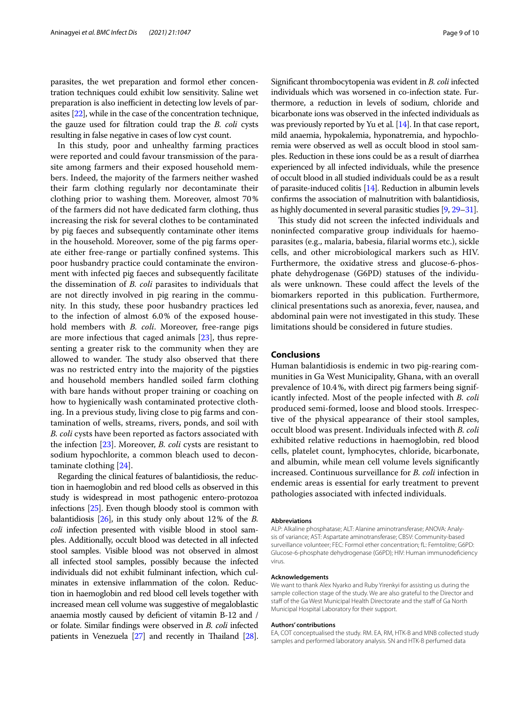parasites, the wet preparation and formol ether concentration techniques could exhibit low sensitivity. Saline wet preparation is also inefficient in detecting low levels of parasites [\[22](#page-9-20)], while in the case of the concentration technique, the gauze used for fltration could trap the *B. coli* cysts resulting in false negative in cases of low cyst count.

In this study, poor and unhealthy farming practices were reported and could favour transmission of the parasite among farmers and their exposed household members. Indeed, the majority of the farmers neither washed their farm clothing regularly nor decontaminate their clothing prior to washing them. Moreover, almost 70% of the farmers did not have dedicated farm clothing, thus increasing the risk for several clothes to be contaminated by pig faeces and subsequently contaminate other items in the household. Moreover, some of the pig farms operate either free-range or partially confined systems. This poor husbandry practice could contaminate the environment with infected pig faeces and subsequently facilitate the dissemination of *B. coli* parasites to individuals that are not directly involved in pig rearing in the community. In this study, these poor husbandry practices led to the infection of almost 6.0% of the exposed household members with *B. coli*. Moreover, free-range pigs are more infectious that caged animals [[23\]](#page-9-21), thus representing a greater risk to the community when they are allowed to wander. The study also observed that there was no restricted entry into the majority of the pigsties and household members handled soiled farm clothing with bare hands without proper training or coaching on how to hygienically wash contaminated protective clothing. In a previous study, living close to pig farms and contamination of wells, streams, rivers, ponds, and soil with *B. coli* cysts have been reported as factors associated with the infection [\[23\]](#page-9-21). Moreover, *B. coli* cysts are resistant to sodium hypochlorite, a common bleach used to decontaminate clothing [\[24\]](#page-9-22).

Regarding the clinical features of balantidiosis, the reduction in haemoglobin and red blood cells as observed in this study is widespread in most pathogenic entero-protozoa infections [\[25\]](#page-9-23). Even though bloody stool is common with balantidiosis [[26\]](#page-9-24), in this study only about 12% of the *B. coli* infection presented with visible blood in stool samples. Additionally, occult blood was detected in all infected stool samples. Visible blood was not observed in almost all infected stool samples, possibly because the infected individuals did not exhibit fulminant infection, which culminates in extensive infammation of the colon. Reduction in haemoglobin and red blood cell levels together with increased mean cell volume was suggestive of megaloblastic anaemia mostly caused by defcient of vitamin B-12 and / or folate. Similar fndings were observed in *B. coli* infected patients in Venezuela  $[27]$  and recently in Thailand  $[28]$  $[28]$ . Signifcant thrombocytopenia was evident in *B. coli* infected individuals which was worsened in co-infection state. Furthermore, a reduction in levels of sodium, chloride and bicarbonate ions was observed in the infected individuals as was previously reported by Yu et al. [\[14](#page-9-13)]. In that case report, mild anaemia, hypokalemia, hyponatremia, and hypochloremia were observed as well as occult blood in stool samples. Reduction in these ions could be as a result of diarrhea experienced by all infected individuals, while the presence of occult blood in all studied individuals could be as a result of parasite-induced colitis [[14](#page-9-13)]. Reduction in albumin levels confrms the association of malnutrition with balantidiosis, as highly documented in several parasitic studies [\[9,](#page-9-8) [29](#page-9-27)[–31](#page-9-28)].

This study did not screen the infected individuals and noninfected comparative group individuals for haemoparasites (e.g., malaria, babesia, flarial worms etc.), sickle cells, and other microbiological markers such as HIV. Furthermore, the oxidative stress and glucose-6-phosphate dehydrogenase (G6PD) statuses of the individuals were unknown. These could affect the levels of the biomarkers reported in this publication. Furthermore, clinical presentations such as anorexia, fever, nausea, and abdominal pain were not investigated in this study. These limitations should be considered in future studies.

#### **Conclusions**

Human balantidiosis is endemic in two pig-rearing communities in Ga West Municipality, Ghana, with an overall prevalence of 10.4%, with direct pig farmers being significantly infected. Most of the people infected with *B. coli* produced semi-formed, loose and blood stools. Irrespective of the physical appearance of their stool samples, occult blood was present. Individuals infected with *B. coli* exhibited relative reductions in haemoglobin, red blood cells, platelet count, lymphocytes, chloride, bicarbonate, and albumin, while mean cell volume levels signifcantly increased. Continuous surveillance for *B. coli* infection in endemic areas is essential for early treatment to prevent pathologies associated with infected individuals.

#### **Abbreviations**

ALP: Alkaline phosphatase; ALT: Alanine aminotransferase; ANOVA: Analysis of variance; AST: Aspartate aminotransferase; CBSV: Community-based surveillance volunteer; FEC: Formol ether concentration; fL: Femtolitre; G6PD: Glucose-6-phosphate dehydrogenase (G6PD); HIV: Human immunodefciency virus.

#### **Acknowledgements**

We want to thank Alex Nyarko and Ruby Yirenkyi for assisting us during the sample collection stage of the study. We are also grateful to the Director and staff of the Ga West Municipal Health Directorate and the staff of Ga North Municipal Hospital Laboratory for their support.

#### **Authors' contributions**

EA, COT conceptualised the study. RM. EA, RM, HTK-B and MNB collected study samples and performed laboratory analysis. SN and HTK-B perfumed data